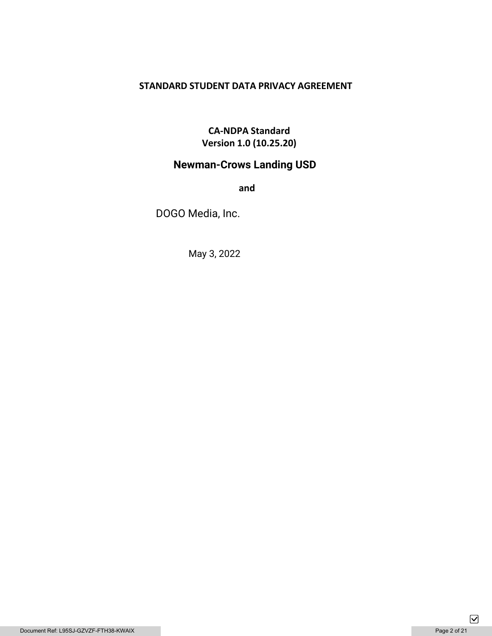## **STANDARD STUDENT DATA PRIVACY AGREEMENT**

# **CA-NDPA Standard Version 1.0 (10.25.20)**

# **Newman-Crows Landing USD**

**and** 

DOGO Media, Inc.

May 3, 2022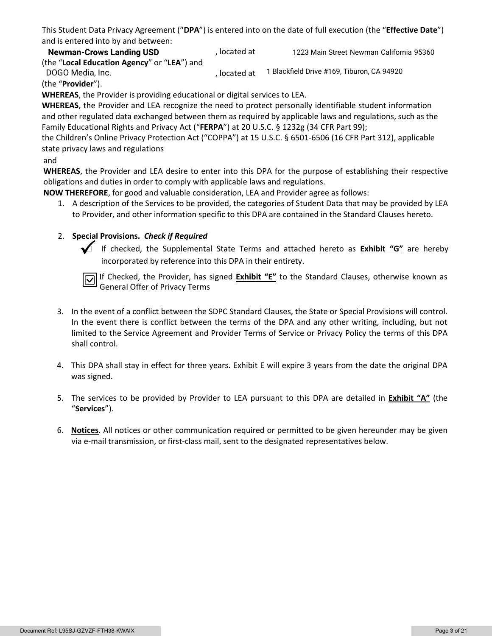This Student Data Privacy Agreement ("**DPA**") is entered into on the date of full execution (the "**Effective Date**") and is entered into by and between:

, located at (the "**Local Education Agency**" or "**LEA**") and , located at **Newman-Crows Landing USD** (bcated at 1223 Main Street Newman California 95360) DOGO Media, Inc. 1 Blackfield Drive #169, Tiburon, CA 94920

(the "**Provider**").

**WHEREAS**, the Provider is providing educational or digital services to LEA.

**WHEREAS**, the Provider and LEA recognize the need to protect personally identifiable student information and other regulated data exchanged between them as required by applicable laws and regulations, such as the Family Educational Rights and Privacy Act ("**FERPA**") at 20 U.S.C. § 1232g (34 CFR Part 99);

the Children's Online Privacy Protection Act ("COPPA") at 15 U.S.C. § 6501-6506 (16 CFR Part 312), applicable state privacy laws and regulations

### and

**WHEREAS**, the Provider and LEA desire to enter into this DPA for the purpose of establishing their respective obligations and duties in order to comply with applicable laws and regulations.

**NOW THEREFORE**, for good and valuable consideration, LEA and Provider agree as follows:

1. A description of the Services to be provided, the categories of Student Data that may be provided by LEA to Provider, and other information specific to this DPA are contained in the Standard Clauses hereto.

### 2. **Special Provisions.** *Check if Required*

 If checked, the Supplemental State Terms and attached hereto as **Exhibit "G"** are hereby incorporated by reference into this DPA in their entirety.

If Checked, the Provider, has signed **Exhibit "E"** to the Standard Clauses, otherwise known as General Offer of Privacy Terms

- 3. In the event of a conflict between the SDPC Standard Clauses, the State or Special Provisions will control. In the event there is conflict between the terms of the DPA and any other writing, including, but not limited to the Service Agreement and Provider Terms of Service or Privacy Policy the terms of this DPA shall control.
- 4. This DPA shall stay in effect for three years. Exhibit E will expire 3 years from the date the original DPA was signed.
- 5. The services to be provided by Provider to LEA pursuant to this DPA are detailed in **Exhibit "A"** (the "**Services**").
- 6. **Notices**. All notices or other communication required or permitted to be given hereunder may be given via e-mail transmission, or first-class mail, sent to the designated representatives below.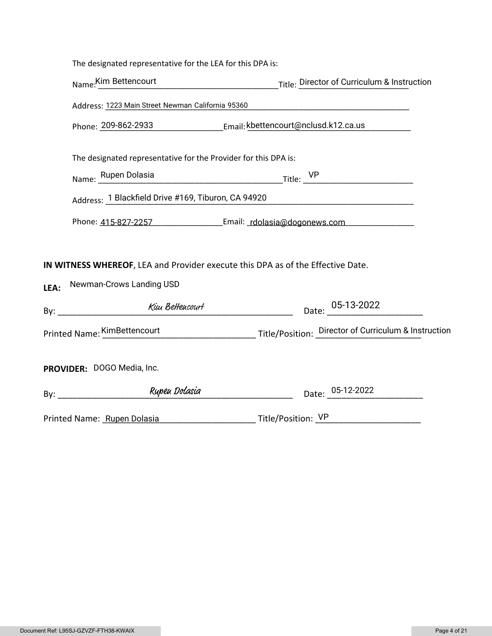|      | The designated representative for the LEA for this DPA is:                                                    |                                                                                   |  |
|------|---------------------------------------------------------------------------------------------------------------|-----------------------------------------------------------------------------------|--|
|      |                                                                                                               | Name: Kim Bettencourt Title: Director of Curriculum & Instruction                 |  |
|      | Address: 1223 Main Street Newman California 95360 [14] [2010] [2010] [2010] [2010] [2010] [2010] [2010] [2010 |                                                                                   |  |
|      | Phone: 209-862-2933 Email: kbettencourt@nclusd.k12.ca.us                                                      |                                                                                   |  |
|      | The designated representative for the Provider for this DPA is:                                               |                                                                                   |  |
|      |                                                                                                               | Name: Rupen Dolasia Title: VP Title: VP                                           |  |
|      | Address: 1 Blackfield Drive #169, Tiburon, CA 94920                                                           |                                                                                   |  |
|      |                                                                                                               | Phone: 415-827-2257 [11] Email: rdolasia@dogonews.com                             |  |
|      | IN WITNESS WHEREOF, LEA and Provider execute this DPA as of the Effective Date.<br>Newman-Crows Landing USD   |                                                                                   |  |
| LEA: |                                                                                                               |                                                                                   |  |
|      |                                                                                                               | Date: 05-13-2022                                                                  |  |
|      |                                                                                                               | Printed Name: KimBettencourt Title/Position: Director of Curriculum & Instruction |  |
|      | PROVIDER: DOGO Media, Inc.                                                                                    |                                                                                   |  |
|      |                                                                                                               | Date: 05-12-2022                                                                  |  |
|      | Printed Name: Rupen Dolasia                                                                                   |                                                                                   |  |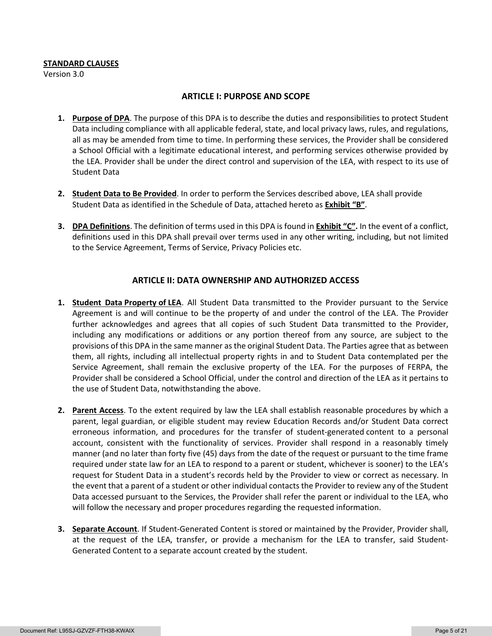#### **STANDARD CLAUSES**

Version 3.0

#### **ARTICLE I: PURPOSE AND SCOPE**

- **1. Purpose of DPA**. The purpose of this DPA is to describe the duties and responsibilities to protect Student Data including compliance with all applicable federal, state, and local privacy laws, rules, and regulations, all as may be amended from time to time. In performing these services, the Provider shall be considered a School Official with a legitimate educational interest, and performing services otherwise provided by the LEA. Provider shall be under the direct control and supervision of the LEA, with respect to its use of Student Data
- **2. Student Data to Be Provided**. In order to perform the Services described above, LEA shall provide Student Data as identified in the Schedule of Data, attached hereto as **Exhibit "B"**.
- **3. DPA Definitions**. The definition of terms used in this DPA is found in **Exhibit "C".** In the event of a conflict, definitions used in this DPA shall prevail over terms used in any other writing, including, but not limited to the Service Agreement, Terms of Service, Privacy Policies etc.

### **ARTICLE II: DATA OWNERSHIP AND AUTHORIZED ACCESS**

- **1. Student Data Property of LEA**. All Student Data transmitted to the Provider pursuant to the Service Agreement is and will continue to be the property of and under the control of the LEA. The Provider further acknowledges and agrees that all copies of such Student Data transmitted to the Provider, including any modifications or additions or any portion thereof from any source, are subject to the provisions of this DPA in the same manner as the original Student Data. The Parties agree that as between them, all rights, including all intellectual property rights in and to Student Data contemplated per the Service Agreement, shall remain the exclusive property of the LEA. For the purposes of FERPA, the Provider shall be considered a School Official, under the control and direction of the LEA as it pertains to the use of Student Data, notwithstanding the above.
- **2. Parent Access**. To the extent required by law the LEA shall establish reasonable procedures by which a parent, legal guardian, or eligible student may review Education Records and/or Student Data correct erroneous information, and procedures for the transfer of student-generated content to a personal account, consistent with the functionality of services. Provider shall respond in a reasonably timely manner (and no later than forty five (45) days from the date of the request or pursuant to the time frame required under state law for an LEA to respond to a parent or student, whichever is sooner) to the LEA's request for Student Data in a student's records held by the Provider to view or correct as necessary. In the event that a parent of a student or other individual contacts the Provider to review any of the Student Data accessed pursuant to the Services, the Provider shall refer the parent or individual to the LEA, who will follow the necessary and proper procedures regarding the requested information.
- **3. Separate Account**. If Student-Generated Content is stored or maintained by the Provider, Provider shall, at the request of the LEA, transfer, or provide a mechanism for the LEA to transfer, said Student-Generated Content to a separate account created by the student.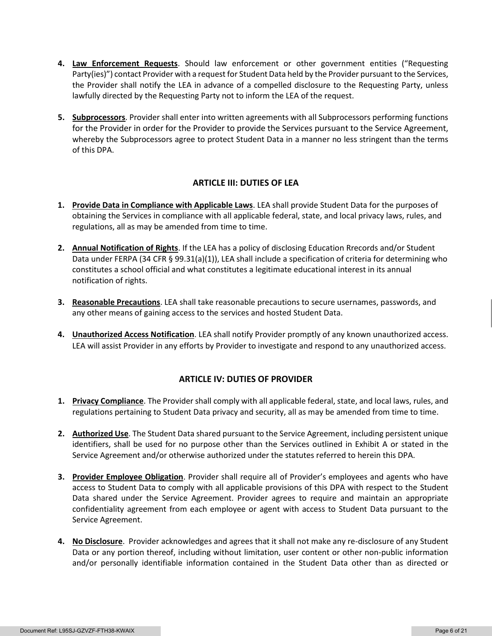- **4. Law Enforcement Requests**. Should law enforcement or other government entities ("Requesting Party(ies)") contact Provider with a request for Student Data held by the Provider pursuant to the Services, the Provider shall notify the LEA in advance of a compelled disclosure to the Requesting Party, unless lawfully directed by the Requesting Party not to inform the LEA of the request.
- **5. Subprocessors**. Provider shall enter into written agreements with all Subprocessors performing functions for the Provider in order for the Provider to provide the Services pursuant to the Service Agreement, whereby the Subprocessors agree to protect Student Data in a manner no less stringent than the terms of this DPA.

### **ARTICLE III: DUTIES OF LEA**

- **1. Provide Data in Compliance with Applicable Laws**. LEA shall provide Student Data for the purposes of obtaining the Services in compliance with all applicable federal, state, and local privacy laws, rules, and regulations, all as may be amended from time to time.
- **2. Annual Notification of Rights**. If the LEA has a policy of disclosing Education Rrecords and/or Student Data under FERPA (34 CFR § 99.31(a)(1)), LEA shall include a specification of criteria for determining who constitutes a school official and what constitutes a legitimate educational interest in its annual notification of rights.
- **3. Reasonable Precautions**. LEA shall take reasonable precautions to secure usernames, passwords, and any other means of gaining access to the services and hosted Student Data.
- **4. Unauthorized Access Notification**. LEA shall notify Provider promptly of any known unauthorized access. LEA will assist Provider in any efforts by Provider to investigate and respond to any unauthorized access.

### **ARTICLE IV: DUTIES OF PROVIDER**

- **1. Privacy Compliance**. The Provider shall comply with all applicable federal, state, and local laws, rules, and regulations pertaining to Student Data privacy and security, all as may be amended from time to time.
- **2. Authorized Use**. The Student Data shared pursuant to the Service Agreement, including persistent unique identifiers, shall be used for no purpose other than the Services outlined in Exhibit A or stated in the Service Agreement and/or otherwise authorized under the statutes referred to herein this DPA.
- **3. Provider Employee Obligation**. Provider shall require all of Provider's employees and agents who have access to Student Data to comply with all applicable provisions of this DPA with respect to the Student Data shared under the Service Agreement. Provider agrees to require and maintain an appropriate confidentiality agreement from each employee or agent with access to Student Data pursuant to the Service Agreement.
- **4. No Disclosure**. Provider acknowledges and agrees that it shall not make any re-disclosure of any Student Data or any portion thereof, including without limitation, user content or other non-public information and/or personally identifiable information contained in the Student Data other than as directed or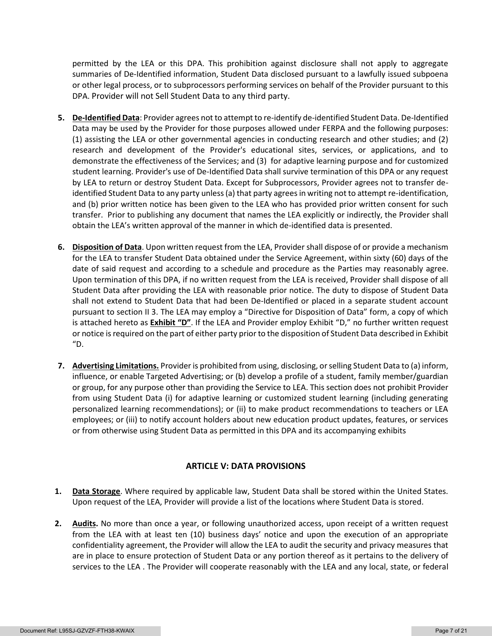permitted by the LEA or this DPA. This prohibition against disclosure shall not apply to aggregate summaries of De-Identified information, Student Data disclosed pursuant to a lawfully issued subpoena or other legal process, or to subprocessors performing services on behalf of the Provider pursuant to this DPA. Provider will not Sell Student Data to any third party.

- **5. De-Identified Data**: Provider agrees not to attempt to re-identify de-identified Student Data. De-Identified Data may be used by the Provider for those purposes allowed under FERPA and the following purposes: (1) assisting the LEA or other governmental agencies in conducting research and other studies; and (2) research and development of the Provider's educational sites, services, or applications, and to demonstrate the effectiveness of the Services; and (3) for adaptive learning purpose and for customized student learning. Provider's use of De-Identified Data shall survive termination of this DPA or any request by LEA to return or destroy Student Data. Except for Subprocessors, Provider agrees not to transfer deidentified Student Data to any party unless (a) that party agrees in writing not to attempt re-identification, and (b) prior written notice has been given to the LEA who has provided prior written consent for such transfer. Prior to publishing any document that names the LEA explicitly or indirectly, the Provider shall obtain the LEA's written approval of the manner in which de-identified data is presented.
- **6. Disposition of Data**. Upon written request from the LEA, Provider shall dispose of or provide a mechanism for the LEA to transfer Student Data obtained under the Service Agreement, within sixty (60) days of the date of said request and according to a schedule and procedure as the Parties may reasonably agree. Upon termination of this DPA, if no written request from the LEA is received, Provider shall dispose of all Student Data after providing the LEA with reasonable prior notice. The duty to dispose of Student Data shall not extend to Student Data that had been De-Identified or placed in a separate student account pursuant to section II 3. The LEA may employ a "Directive for Disposition of Data" form, a copy of which is attached hereto as **Exhibit "D"**. If the LEA and Provider employ Exhibit "D," no further written request or notice is required on the part of either party prior to the disposition of Student Data described in Exhibit "D.
- **7. Advertising Limitations.** Provider is prohibited from using, disclosing, or selling Student Data to (a) inform, influence, or enable Targeted Advertising; or (b) develop a profile of a student, family member/guardian or group, for any purpose other than providing the Service to LEA. This section does not prohibit Provider from using Student Data (i) for adaptive learning or customized student learning (including generating personalized learning recommendations); or (ii) to make product recommendations to teachers or LEA employees; or (iii) to notify account holders about new education product updates, features, or services or from otherwise using Student Data as permitted in this DPA and its accompanying exhibits

### **ARTICLE V: DATA PROVISIONS**

- **1. Data Storage**. Where required by applicable law, Student Data shall be stored within the United States. Upon request of the LEA, Provider will provide a list of the locations where Student Data is stored.
- **2. Audits.** No more than once a year, or following unauthorized access, upon receipt of a written request from the LEA with at least ten (10) business days' notice and upon the execution of an appropriate confidentiality agreement, the Provider will allow the LEA to audit the security and privacy measures that are in place to ensure protection of Student Data or any portion thereof as it pertains to the delivery of services to the LEA . The Provider will cooperate reasonably with the LEA and any local, state, or federal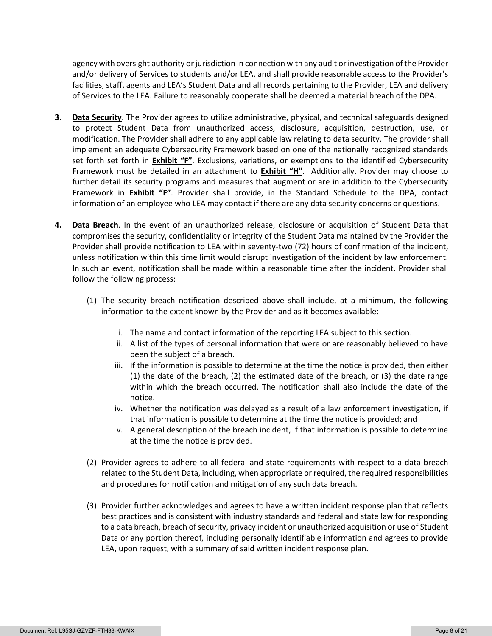agency with oversight authority or jurisdiction in connection with any audit or investigation of the Provider and/or delivery of Services to students and/or LEA, and shall provide reasonable access to the Provider's facilities, staff, agents and LEA's Student Data and all records pertaining to the Provider, LEA and delivery of Services to the LEA. Failure to reasonably cooperate shall be deemed a material breach of the DPA.

- **3. Data Security**. The Provider agrees to utilize administrative, physical, and technical safeguards designed to protect Student Data from unauthorized access, disclosure, acquisition, destruction, use, or modification. The Provider shall adhere to any applicable law relating to data security. The provider shall implement an adequate Cybersecurity Framework based on one of the nationally recognized standards set forth set forth in **Exhibit "F"**. Exclusions, variations, or exemptions to the identified Cybersecurity Framework must be detailed in an attachment to **Exhibit "H"**. Additionally, Provider may choose to further detail its security programs and measures that augment or are in addition to the Cybersecurity Framework in **Exhibit "F"**. Provider shall provide, in the Standard Schedule to the DPA, contact information of an employee who LEA may contact if there are any data security concerns or questions.
- **4. Data Breach**. In the event of an unauthorized release, disclosure or acquisition of Student Data that compromises the security, confidentiality or integrity of the Student Data maintained by the Provider the Provider shall provide notification to LEA within seventy-two (72) hours of confirmation of the incident, unless notification within this time limit would disrupt investigation of the incident by law enforcement. In such an event, notification shall be made within a reasonable time after the incident. Provider shall follow the following process:
	- (1) The security breach notification described above shall include, at a minimum, the following information to the extent known by the Provider and as it becomes available:
		- i. The name and contact information of the reporting LEA subject to this section.
		- ii. A list of the types of personal information that were or are reasonably believed to have been the subject of a breach.
		- iii. If the information is possible to determine at the time the notice is provided, then either (1) the date of the breach, (2) the estimated date of the breach, or (3) the date range within which the breach occurred. The notification shall also include the date of the notice.
		- iv. Whether the notification was delayed as a result of a law enforcement investigation, if that information is possible to determine at the time the notice is provided; and
		- v. A general description of the breach incident, if that information is possible to determine at the time the notice is provided.
	- (2) Provider agrees to adhere to all federal and state requirements with respect to a data breach related to the Student Data, including, when appropriate or required, the required responsibilities and procedures for notification and mitigation of any such data breach.
	- (3) Provider further acknowledges and agrees to have a written incident response plan that reflects best practices and is consistent with industry standards and federal and state law for responding to a data breach, breach of security, privacy incident or unauthorized acquisition or use of Student Data or any portion thereof, including personally identifiable information and agrees to provide LEA, upon request, with a summary of said written incident response plan.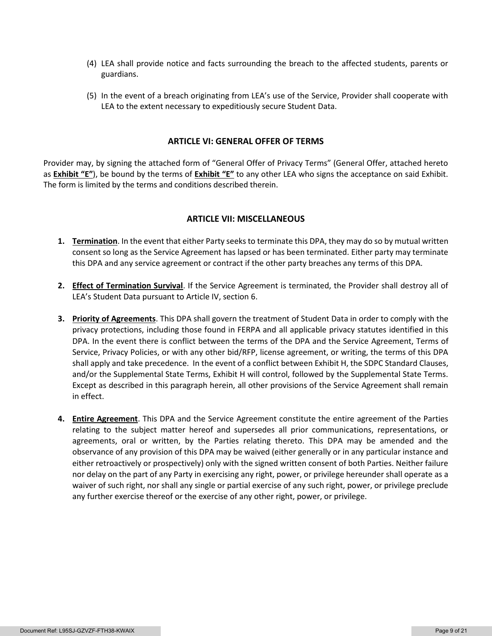- (4) LEA shall provide notice and facts surrounding the breach to the affected students, parents or guardians.
- (5) In the event of a breach originating from LEA's use of the Service, Provider shall cooperate with LEA to the extent necessary to expeditiously secure Student Data.

#### **ARTICLE VI: GENERAL OFFER OF TERMS**

Provider may, by signing the attached form of "General Offer of Privacy Terms" (General Offer, attached hereto as **Exhibit "E"**), be bound by the terms of **Exhibit "E"** to any other LEA who signs the acceptance on said Exhibit. The form is limited by the terms and conditions described therein.

#### **ARTICLE VII: MISCELLANEOUS**

- **1. Termination**. In the event that either Party seeks to terminate this DPA, they may do so by mutual written consent so long as the Service Agreement has lapsed or has been terminated. Either party may terminate this DPA and any service agreement or contract if the other party breaches any terms of this DPA.
- **2. Effect of Termination Survival**. If the Service Agreement is terminated, the Provider shall destroy all of LEA's Student Data pursuant to Article IV, section 6.
- **3. Priority of Agreements**. This DPA shall govern the treatment of Student Data in order to comply with the privacy protections, including those found in FERPA and all applicable privacy statutes identified in this DPA. In the event there is conflict between the terms of the DPA and the Service Agreement, Terms of Service, Privacy Policies, or with any other bid/RFP, license agreement, or writing, the terms of this DPA shall apply and take precedence. In the event of a conflict between Exhibit H, the SDPC Standard Clauses, and/or the Supplemental State Terms, Exhibit H will control, followed by the Supplemental State Terms. Except as described in this paragraph herein, all other provisions of the Service Agreement shall remain in effect.
- **4. Entire Agreement**. This DPA and the Service Agreement constitute the entire agreement of the Parties relating to the subject matter hereof and supersedes all prior communications, representations, or agreements, oral or written, by the Parties relating thereto. This DPA may be amended and the observance of any provision of this DPA may be waived (either generally or in any particular instance and either retroactively or prospectively) only with the signed written consent of both Parties. Neither failure nor delay on the part of any Party in exercising any right, power, or privilege hereunder shall operate as a waiver of such right, nor shall any single or partial exercise of any such right, power, or privilege preclude any further exercise thereof or the exercise of any other right, power, or privilege.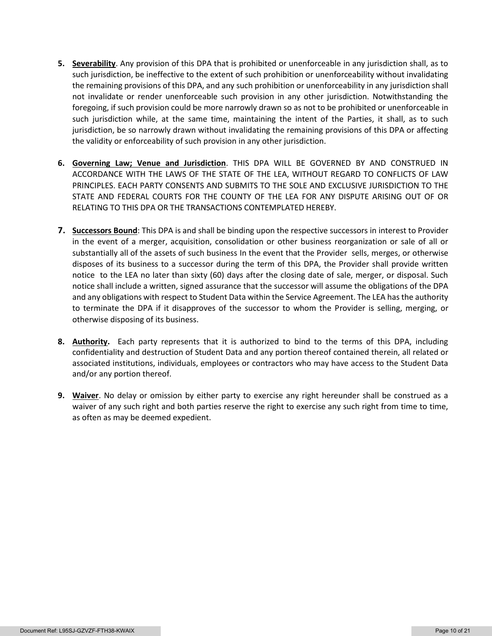- **5. Severability**. Any provision of this DPA that is prohibited or unenforceable in any jurisdiction shall, as to such jurisdiction, be ineffective to the extent of such prohibition or unenforceability without invalidating the remaining provisions of this DPA, and any such prohibition or unenforceability in any jurisdiction shall not invalidate or render unenforceable such provision in any other jurisdiction. Notwithstanding the foregoing, if such provision could be more narrowly drawn so as not to be prohibited or unenforceable in such jurisdiction while, at the same time, maintaining the intent of the Parties, it shall, as to such jurisdiction, be so narrowly drawn without invalidating the remaining provisions of this DPA or affecting the validity or enforceability of such provision in any other jurisdiction.
- **6. Governing Law; Venue and Jurisdiction**. THIS DPA WILL BE GOVERNED BY AND CONSTRUED IN ACCORDANCE WITH THE LAWS OF THE STATE OF THE LEA, WITHOUT REGARD TO CONFLICTS OF LAW PRINCIPLES. EACH PARTY CONSENTS AND SUBMITS TO THE SOLE AND EXCLUSIVE JURISDICTION TO THE STATE AND FEDERAL COURTS FOR THE COUNTY OF THE LEA FOR ANY DISPUTE ARISING OUT OF OR RELATING TO THIS DPA OR THE TRANSACTIONS CONTEMPLATED HEREBY.
- **7. Successors Bound**: This DPA is and shall be binding upon the respective successors in interest to Provider in the event of a merger, acquisition, consolidation or other business reorganization or sale of all or substantially all of the assets of such business In the event that the Provider sells, merges, or otherwise disposes of its business to a successor during the term of this DPA, the Provider shall provide written notice to the LEA no later than sixty (60) days after the closing date of sale, merger, or disposal. Such notice shall include a written, signed assurance that the successor will assume the obligations of the DPA and any obligations with respect to Student Data within the Service Agreement. The LEA has the authority to terminate the DPA if it disapproves of the successor to whom the Provider is selling, merging, or otherwise disposing of its business.
- **8. Authority.** Each party represents that it is authorized to bind to the terms of this DPA, including confidentiality and destruction of Student Data and any portion thereof contained therein, all related or associated institutions, individuals, employees or contractors who may have access to the Student Data and/or any portion thereof.
- **9. Waiver**. No delay or omission by either party to exercise any right hereunder shall be construed as a waiver of any such right and both parties reserve the right to exercise any such right from time to time, as often as may be deemed expedient.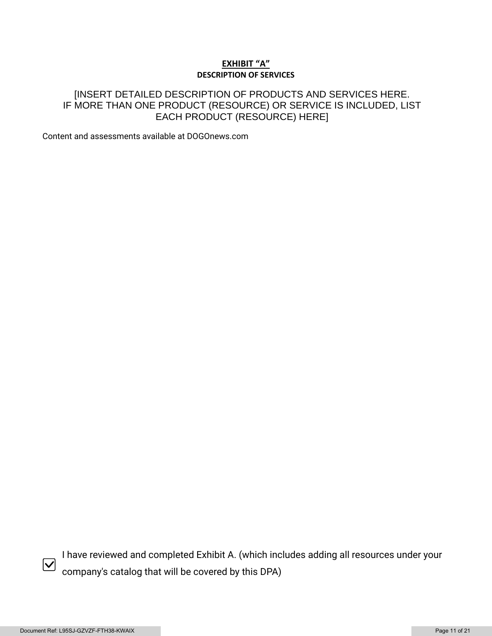### **EXHIBIT "A" DESCRIPTION OF SERVICES**

## [INSERT DETAILED DESCRIPTION OF PRODUCTS AND SERVICES HERE. IF MORE THAN ONE PRODUCT (RESOURCE) OR SERVICE IS INCLUDED, LIST EACH PRODUCT (RESOURCE) HERE]

Content and assessments available at DOGOnews.com



I have reviewed and completed Exhibit A. (which includes adding all resources under your company's catalog that will be covered by this DPA)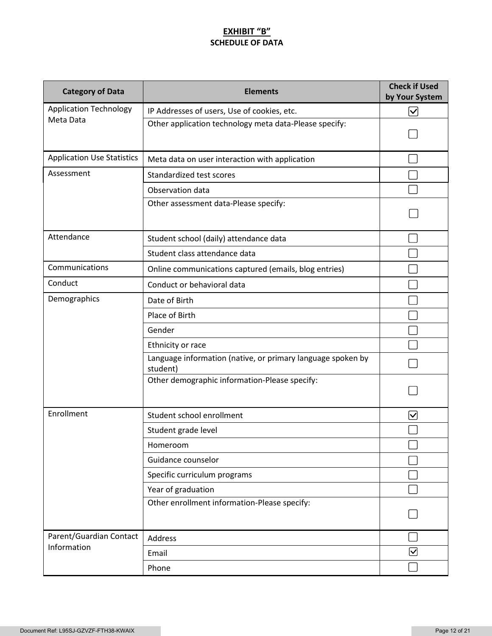## **EXHIBIT "B" SCHEDULE OF DATA**

| <b>Category of Data</b>           | <b>Elements</b>                                                         | <b>Check if Used</b><br>by Your System |
|-----------------------------------|-------------------------------------------------------------------------|----------------------------------------|
| <b>Application Technology</b>     | IP Addresses of users, Use of cookies, etc.                             | $\bm \nabla$                           |
| Meta Data                         | Other application technology meta data-Please specify:                  |                                        |
| <b>Application Use Statistics</b> | Meta data on user interaction with application                          |                                        |
| Assessment                        | Standardized test scores                                                |                                        |
|                                   | Observation data                                                        |                                        |
|                                   | Other assessment data-Please specify:                                   |                                        |
| Attendance                        | Student school (daily) attendance data                                  |                                        |
|                                   | Student class attendance data                                           |                                        |
| Communications                    | Online communications captured (emails, blog entries)                   |                                        |
| Conduct                           | Conduct or behavioral data                                              |                                        |
| Demographics                      | Date of Birth                                                           |                                        |
|                                   | Place of Birth                                                          |                                        |
|                                   | Gender                                                                  |                                        |
|                                   | Ethnicity or race                                                       |                                        |
|                                   | Language information (native, or primary language spoken by<br>student) |                                        |
|                                   | Other demographic information-Please specify:                           |                                        |
| Enrollment                        | Student school enrollment                                               | ∣✓                                     |
|                                   | Student grade level                                                     |                                        |
|                                   | Homeroom                                                                |                                        |
|                                   | Guidance counselor                                                      |                                        |
|                                   | Specific curriculum programs                                            |                                        |
|                                   | Year of graduation                                                      |                                        |
|                                   | Other enrollment information-Please specify:                            |                                        |
| Parent/Guardian Contact           | Address                                                                 |                                        |
| Information                       | Email                                                                   | $\bm \nabla$                           |
|                                   | Phone                                                                   |                                        |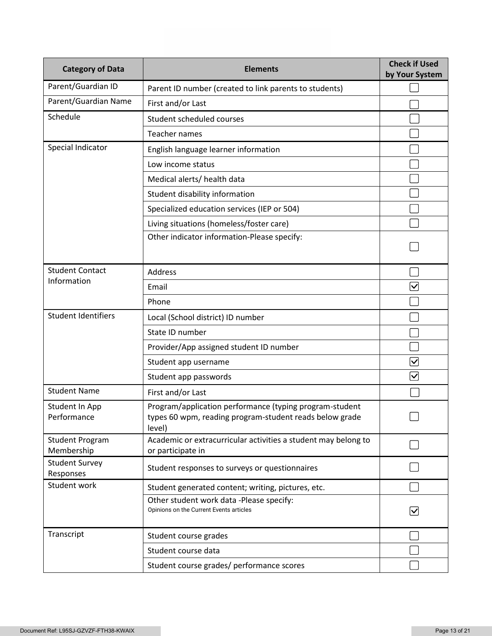| <b>Category of Data</b>              | <b>Elements</b>                                                                                                              | <b>Check if Used</b><br>by Your System |
|--------------------------------------|------------------------------------------------------------------------------------------------------------------------------|----------------------------------------|
| Parent/Guardian ID                   | Parent ID number (created to link parents to students)                                                                       |                                        |
| Parent/Guardian Name                 | First and/or Last                                                                                                            |                                        |
| Schedule                             | Student scheduled courses                                                                                                    |                                        |
|                                      | Teacher names                                                                                                                |                                        |
| Special Indicator                    | English language learner information                                                                                         |                                        |
|                                      | Low income status                                                                                                            |                                        |
|                                      | Medical alerts/ health data                                                                                                  |                                        |
|                                      | Student disability information                                                                                               |                                        |
|                                      | Specialized education services (IEP or 504)                                                                                  |                                        |
|                                      | Living situations (homeless/foster care)                                                                                     |                                        |
|                                      | Other indicator information-Please specify:                                                                                  |                                        |
| <b>Student Contact</b>               | <b>Address</b>                                                                                                               |                                        |
| Information                          | Email                                                                                                                        | $\overline{\mathsf{v}}$                |
|                                      | Phone                                                                                                                        |                                        |
| <b>Student Identifiers</b>           | Local (School district) ID number                                                                                            |                                        |
|                                      | State ID number                                                                                                              |                                        |
|                                      | Provider/App assigned student ID number                                                                                      |                                        |
|                                      | Student app username                                                                                                         | $\bm{\nabla}$                          |
|                                      | Student app passwords                                                                                                        | $\blacktriangledown$                   |
| <b>Student Name</b>                  | First and/or Last                                                                                                            |                                        |
| Student In App<br>Performance        | Program/application performance (typing program-student<br>types 60 wpm, reading program-student reads below grade<br>level) |                                        |
| <b>Student Program</b><br>Membership | Academic or extracurricular activities a student may belong to<br>or participate in                                          |                                        |
| <b>Student Survey</b><br>Responses   | Student responses to surveys or questionnaires                                                                               |                                        |
| Student work                         | Student generated content; writing, pictures, etc.                                                                           |                                        |
|                                      | Other student work data -Please specify:<br>Opinions on the Current Events articles                                          | $\boldsymbol{\mathsf{ \mathcal{V} }}$  |
| Transcript                           | Student course grades                                                                                                        |                                        |
|                                      | Student course data                                                                                                          |                                        |
|                                      | Student course grades/ performance scores                                                                                    |                                        |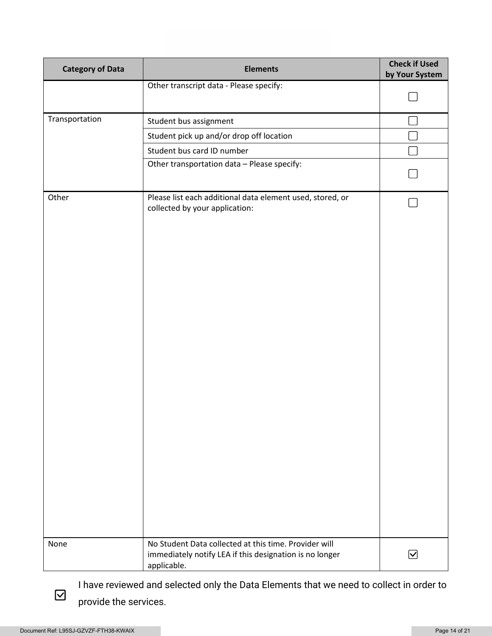| <b>Category of Data</b> | <b>Elements</b>                                                                                                                 | <b>Check if Used</b><br>by Your System |
|-------------------------|---------------------------------------------------------------------------------------------------------------------------------|----------------------------------------|
|                         | Other transcript data - Please specify:                                                                                         |                                        |
|                         |                                                                                                                                 |                                        |
| Transportation          | Student bus assignment                                                                                                          |                                        |
|                         | Student pick up and/or drop off location                                                                                        |                                        |
|                         | Student bus card ID number                                                                                                      |                                        |
|                         | Other transportation data - Please specify:                                                                                     |                                        |
| Other                   | Please list each additional data element used, stored, or<br>collected by your application:                                     |                                        |
| None                    | No Student Data collected at this time. Provider will<br>immediately notify LEA if this designation is no longer<br>applicable. | $\bm \boxtimes$                        |

I have reviewed and selected only the Data Elements that we need to collect in order to provide the services.

 $\boxdot$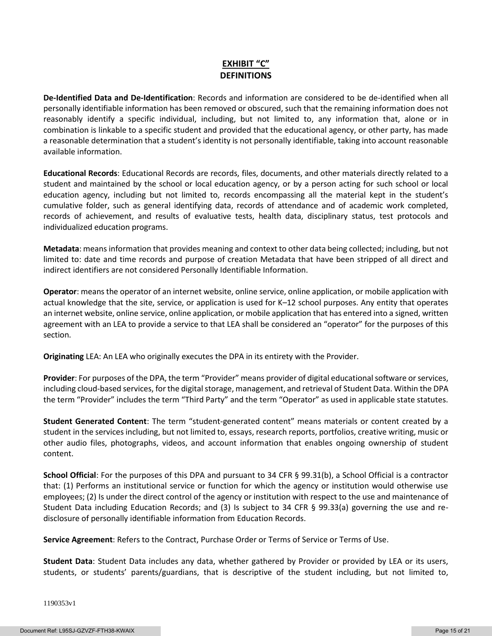## **EXHIBIT "C" DEFINITIONS**

**De-Identified Data and De-Identification**: Records and information are considered to be de-identified when all personally identifiable information has been removed or obscured, such that the remaining information does not reasonably identify a specific individual, including, but not limited to, any information that, alone or in combination is linkable to a specific student and provided that the educational agency, or other party, has made a reasonable determination that a student's identity is not personally identifiable, taking into account reasonable available information.

**Educational Records**: Educational Records are records, files, documents, and other materials directly related to a student and maintained by the school or local education agency, or by a person acting for such school or local education agency, including but not limited to, records encompassing all the material kept in the student's cumulative folder, such as general identifying data, records of attendance and of academic work completed, records of achievement, and results of evaluative tests, health data, disciplinary status, test protocols and individualized education programs.

**Metadata**: means information that provides meaning and context to other data being collected; including, but not limited to: date and time records and purpose of creation Metadata that have been stripped of all direct and indirect identifiers are not considered Personally Identifiable Information.

**Operator**: means the operator of an internet website, online service, online application, or mobile application with actual knowledge that the site, service, or application is used for K–12 school purposes. Any entity that operates an internet website, online service, online application, or mobile application that has entered into a signed, written agreement with an LEA to provide a service to that LEA shall be considered an "operator" for the purposes of this section.

**Originating** LEA: An LEA who originally executes the DPA in its entirety with the Provider.

**Provider**: For purposes of the DPA, the term "Provider" means provider of digital educational software or services, including cloud-based services, for the digital storage, management, and retrieval of Student Data. Within the DPA the term "Provider" includes the term "Third Party" and the term "Operator" as used in applicable state statutes.

**Student Generated Content**: The term "student-generated content" means materials or content created by a student in the services including, but not limited to, essays, research reports, portfolios, creative writing, music or other audio files, photographs, videos, and account information that enables ongoing ownership of student content.

**School Official**: For the purposes of this DPA and pursuant to 34 CFR § 99.31(b), a School Official is a contractor that: (1) Performs an institutional service or function for which the agency or institution would otherwise use employees; (2) Is under the direct control of the agency or institution with respect to the use and maintenance of Student Data including Education Records; and (3) Is subject to 34 CFR § 99.33(a) governing the use and redisclosure of personally identifiable information from Education Records.

**Service Agreement**: Refers to the Contract, Purchase Order or Terms of Service or Terms of Use.

**Student Data**: Student Data includes any data, whether gathered by Provider or provided by LEA or its users, students, or students' parents/guardians, that is descriptive of the student including, but not limited to,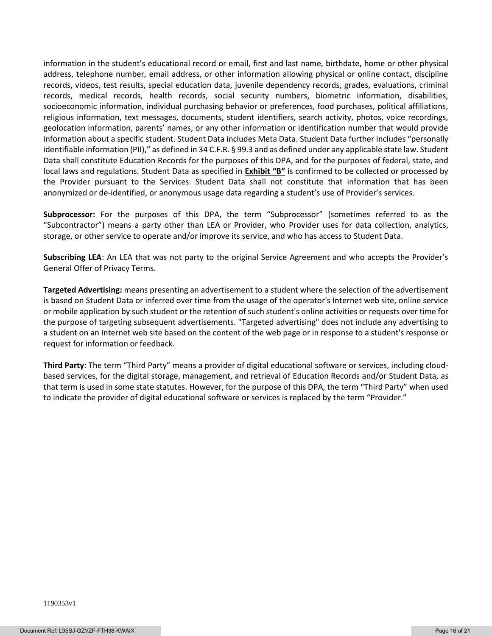information in the student's educational record or email, first and last name, birthdate, home or other physical address, telephone number, email address, or other information allowing physical or online contact, discipline records, videos, test results, special education data, juvenile dependency records, grades, evaluations, criminal records, medical records, health records, social security numbers, biometric information, disabilities, socioeconomic information, individual purchasing behavior or preferences, food purchases, political affiliations, religious information, text messages, documents, student identifiers, search activity, photos, voice recordings, geolocation information, parents' names, or any other information or identification number that would provide information about a specific student. Student Data includes Meta Data. Student Data further includes "personally identifiable information (PII)," as defined in 34 C.F.R. § 99.3 and as defined under any applicable state law. Student Data shall constitute Education Records for the purposes of this DPA, and for the purposes of federal, state, and local laws and regulations. Student Data as specified in **Exhibit "B"** is confirmed to be collected or processed by the Provider pursuant to the Services. Student Data shall not constitute that information that has been anonymized or de-identified, or anonymous usage data regarding a student's use of Provider's services.

**Subprocessor:** For the purposes of this DPA, the term "Subprocessor" (sometimes referred to as the "Subcontractor") means a party other than LEA or Provider, who Provider uses for data collection, analytics, storage, or other service to operate and/or improve its service, and who has access to Student Data.

**Subscribing LEA**: An LEA that was not party to the original Service Agreement and who accepts the Provider's General Offer of Privacy Terms.

**Targeted Advertising:** means presenting an advertisement to a student where the selection of the advertisement is based on Student Data or inferred over time from the usage of the operator's Internet web site, online service or mobile application by such student or the retention of such student's online activities or requests over time for the purpose of targeting subsequent advertisements. "Targeted advertising" does not include any advertising to a student on an Internet web site based on the content of the web page or in response to a student's response or request for information or feedback.

**Third Party**: The term "Third Party" means a provider of digital educational software or services, including cloudbased services, for the digital storage, management, and retrieval of Education Records and/or Student Data, as that term is used in some state statutes. However, for the purpose of this DPA, the term "Third Party" when used to indicate the provider of digital educational software or services is replaced by the term "Provider."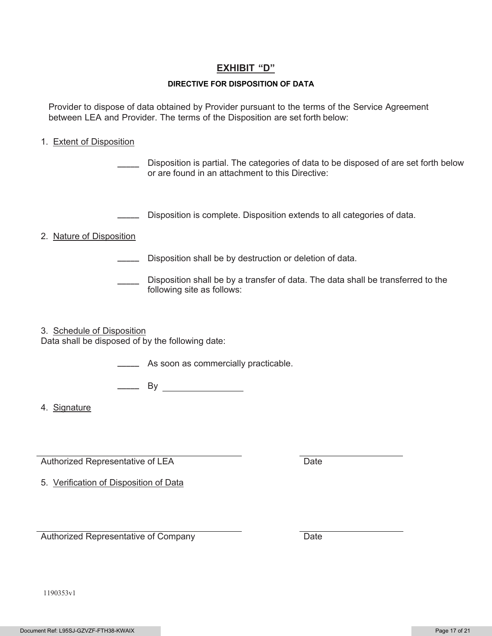## **EXHIBIT "D"**

### **DIRECTIVE FOR DISPOSITION OF DATA**

Provider to dispose of data obtained by Provider pursuant to the terms of the Service Agreement between LEA and Provider. The terms of the Disposition are set forth below:

### 1.Extent of Disposition

Disposition is partial. The categories of data to be disposed of are set forth below or are found in an attachment to this Directive:

\_\_\_\_\_ Disposition is complete. Disposition extends to all categories of data.

### 2.Nature of Disposition

- \_\_\_\_\_ Disposition shall be by destruction or deletion of data.
- \_\_\_\_\_ Disposition shall be by a transfer of data. The data shall be transferred to the following site as follows:

3. Schedule of Disposition

Data shall be disposed of by the following date:

\_\_\_\_\_ As soon as commercially practicable.

 $\equiv$  By

4.Signature

Authorized Representative of LEA Date

5.Verification of Disposition of Data

Authorized Representative of Company Date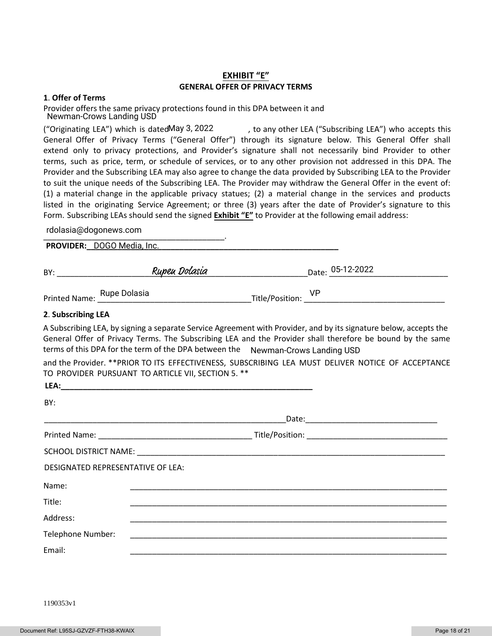### **EXHIBIT "E" GENERAL OFFER OF PRIVACY TERMS**

#### **1**. **Offer of Terms**

Provider offers the same privacy protections found in this DPA between it and Newman-Crows Landing USD

, to any other LEA ("Subscribing LEA") who accepts this General Offer of Privacy Terms ("General Offer") through its signature below. This General Offer shall extend only to privacy protections, and Provider's signature shall not necessarily bind Provider to other terms, such as price, term, or schedule of services, or to any other provision not addressed in this DPA. The Provider and the Subscribing LEA may also agree to change the data provided by Subscribing LEA to the Provider to suit the unique needs of the Subscribing LEA. The Provider may withdraw the General Offer in the event of: (1) a material change in the applicable privacy statues; (2) a material change in the services and products listed in the originating Service Agreement; or three (3) years after the date of Provider's signature to this Form. Subscribing LEAs should send the signed **Exhibit "E"** to Provider at the following email address: ("Originating LEA") which is dated May 3, 2022

\_\_\_\_\_\_\_\_\_\_\_\_\_\_\_\_\_\_\_\_\_\_\_\_\_\_\_\_\_\_\_\_\_\_\_\_\_\_\_\_\_. rdolasia@dogonews.com

**PROVIDER:\_\_\_\_\_\_\_\_\_\_\_\_\_\_\_\_\_\_\_\_\_\_\_\_\_\_\_\_\_\_\_\_\_\_\_\_\_\_\_\_\_\_\_\_\_\_\_\_\_\_\_\_\_\_\_\_\_** DOGO Media, Inc.

| BY: | וממ.<br>asu | $1 -$<br>Date:<br>∼∽∽ |
|-----|-------------|-----------------------|
|     |             |                       |

Rupe Dolasia VP

Printed Name: Rupe Dolasia

#### **2**. **Subscribing LEA**

A Subscribing LEA, by signing a separate Service Agreement with Provider, and by its signature below, accepts the General Offer of Privacy Terms. The Subscribing LEA and the Provider shall therefore be bound by the same terms of this DPA for the term of the DPA between the Newman-Crows Landing USD

and the Provider. \*\*PRIOR TO ITS EFFECTIVENESS, SUBSCRIBING LEA MUST DELIVER NOTICE OF ACCEPTANCE TO PROVIDER PURSUANT TO ARTICLE VII, SECTION 5. \*\*

| LEA:                              |  |
|-----------------------------------|--|
| BY:                               |  |
|                                   |  |
|                                   |  |
|                                   |  |
| DESIGNATED REPRESENTATIVE OF LEA: |  |
| Name:                             |  |
| Title:                            |  |
| Address:                          |  |
| Telephone Number:                 |  |
| Email:                            |  |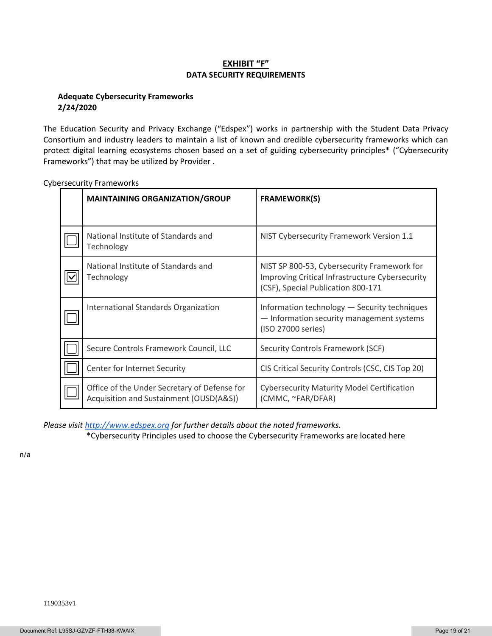### **EXHIBIT "F" DATA SECURITY REQUIREMENTS**

### **Adequate Cybersecurity Frameworks 2/24/2020**

The Education Security and Privacy Exchange ("Edspex") works in partnership with the Student Data Privacy Consortium and industry leaders to maintain a list of known and credible cybersecurity frameworks which can protect digital learning ecosystems chosen based on a set of guiding cybersecurity principles\* ("Cybersecurity Frameworks") that may be utilized by Provider .

| <b>MAINTAINING ORGANIZATION/GROUP</b>                                                   | <b>FRAMEWORK(S)</b>                                                                                                                  |
|-----------------------------------------------------------------------------------------|--------------------------------------------------------------------------------------------------------------------------------------|
|                                                                                         |                                                                                                                                      |
| National Institute of Standards and<br>Technology                                       | NIST Cybersecurity Framework Version 1.1                                                                                             |
| National Institute of Standards and<br>Technology                                       | NIST SP 800-53, Cybersecurity Framework for<br>Improving Critical Infrastructure Cybersecurity<br>(CSF), Special Publication 800-171 |
| International Standards Organization                                                    | Information technology - Security techniques<br>- Information security management systems<br>(ISO 27000 series)                      |
| Secure Controls Framework Council, LLC                                                  | Security Controls Framework (SCF)                                                                                                    |
| Center for Internet Security                                                            | CIS Critical Security Controls (CSC, CIS Top 20)                                                                                     |
| Office of the Under Secretary of Defense for<br>Acquisition and Sustainment (OUSD(A&S)) | <b>Cybersecurity Maturity Model Certification</b><br>(CMMC, ~FAR/DFAR)                                                               |

Cybersecurity Frameworks

*Please visi[t http://www.edspex.org](http://www.edspex.org/) for further details about the noted frameworks.*

\*Cybersecurity Principles used to choose the Cybersecurity Frameworks are located here

n/a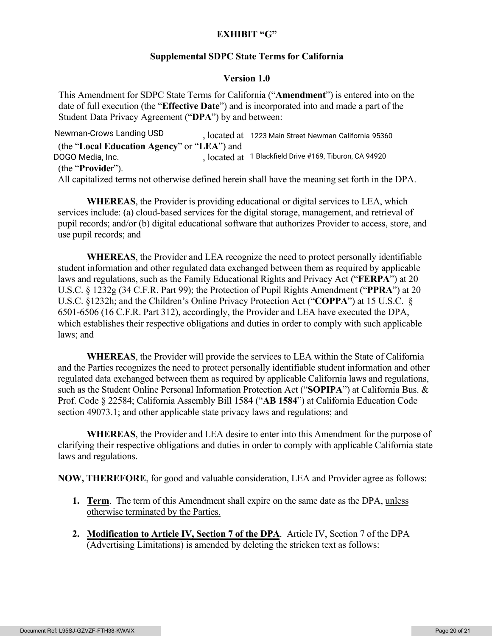### **EXHIBIT "G"**

### **Supplemental SDPC State Terms for California**

### **Version 1.0**

This Amendment for SDPC State Terms for California ("**Amendment**") is entered into on the date of full execution (the "**Effective Date**") and is incorporated into and made a part of the Student Data Privacy Agreement ("**DPA**") by and between:

, located at Newman-Crows Landing USD 1223 Main Street Newman California <sup>95360</sup> (the "**Local Education Agency**" or "**LEA**") and DOGO Media, Inc. , located at 1 Blackfield Drive #169, Tiburon, CA 94920 (the "**Provide**r"). All capitalized terms not otherwise defined herein shall have the meaning set forth in the DPA.

**WHEREAS**, the Provider is providing educational or digital services to LEA, which services include: (a) cloud-based services for the digital storage, management, and retrieval of pupil records; and/or (b) digital educational software that authorizes Provider to access, store, and use pupil records; and

**WHEREAS**, the Provider and LEA recognize the need to protect personally identifiable student information and other regulated data exchanged between them as required by applicable laws and regulations, such as the Family Educational Rights and Privacy Act ("**FERPA**") at 20 U.S.C. § 1232g (34 C.F.R. Part 99); the Protection of Pupil Rights Amendment ("**PPRA**") at 20 U.S.C. §1232h; and the Children's Online Privacy Protection Act ("**COPPA**") at 15 U.S.C. § 6501-6506 (16 C.F.R. Part 312), accordingly, the Provider and LEA have executed the DPA, which establishes their respective obligations and duties in order to comply with such applicable laws; and

**WHEREAS**, the Provider will provide the services to LEA within the State of California and the Parties recognizes the need to protect personally identifiable student information and other regulated data exchanged between them as required by applicable California laws and regulations, such as the Student Online Personal Information Protection Act ("**SOPIPA**") at California Bus. & Prof. Code § 22584; California Assembly Bill 1584 ("**AB 1584**") at California Education Code section 49073.1; and other applicable state privacy laws and regulations; and

**WHEREAS**, the Provider and LEA desire to enter into this Amendment for the purpose of clarifying their respective obligations and duties in order to comply with applicable California state laws and regulations.

**NOW, THEREFORE**, for good and valuable consideration, LEA and Provider agree as follows:

- **1. Term**. The term of this Amendment shall expire on the same date as the DPA, unless otherwise terminated by the Parties.
- **2. Modification to Article IV, Section 7 of the DPA**. Article IV, Section 7 of the DPA (Advertising Limitations) is amended by deleting the stricken text as follows: